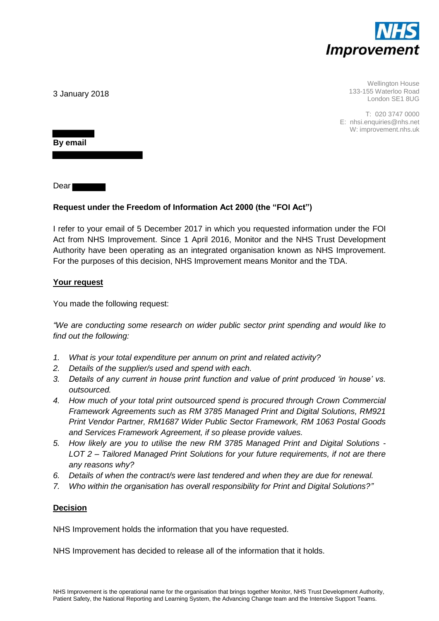

Wellington House 133-155 Waterloo Road London SE1 8UG

T: 020 3747 0000 E: nhsi.enquiries@nhs.net W: improvement.nhs.uk

3 January 2018

**By email** 

Dear

## **Request under the Freedom of Information Act 2000 (the "FOI Act")**

I refer to your email of 5 December 2017 in which you requested information under the FOI Act from NHS Improvement. Since 1 April 2016, Monitor and the NHS Trust Development Authority have been operating as an integrated organisation known as NHS Improvement. For the purposes of this decision, NHS Improvement means Monitor and the TDA.

## **Your request**

You made the following request:

*"We are conducting some research on wider public sector print spending and would like to find out the following:* 

- *1. What is your total expenditure per annum on print and related activity?*
- *2. Details of the supplier/s used and spend with each.*
- *3. Details of any current in house print function and value of print produced 'in house' vs. outsourced.*
- *4. How much of your total print outsourced spend is procured through Crown Commercial Framework Agreements such as RM 3785 Managed Print and Digital Solutions, RM921 Print Vendor Partner, RM1687 Wider Public Sector Framework, RM 1063 Postal Goods and Services Framework Agreement, if so please provide values.*
- *5. How likely are you to utilise the new RM 3785 Managed Print and Digital Solutions LOT 2 – Tailored Managed Print Solutions for your future requirements, if not are there any reasons why?*
- *6. Details of when the contract/s were last tendered and when they are due for renewal.*
- *7. Who within the organisation has overall responsibility for Print and Digital Solutions?"*

## **Decision**

NHS Improvement holds the information that you have requested.

NHS Improvement has decided to release all of the information that it holds.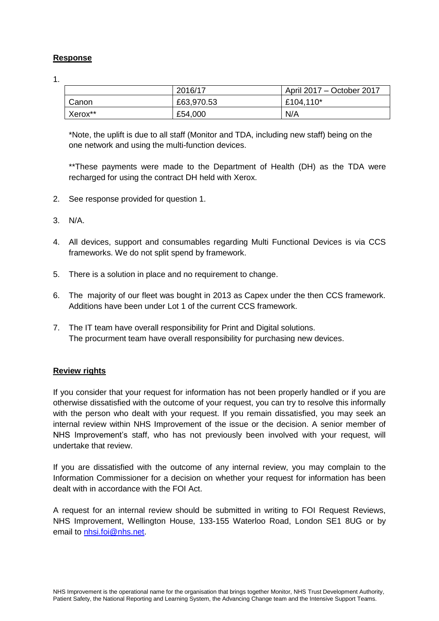## **Response**

1.

|                     | 2016/17    | April 2017 – October 2017 |
|---------------------|------------|---------------------------|
| Canon               | £63,970.53 | £104,110*                 |
| Xerox <sup>**</sup> | £54,000    | N/A                       |

\*Note, the uplift is due to all staff (Monitor and TDA, including new staff) being on the one network and using the multi-function devices.

\*\*These payments were made to the Department of Health (DH) as the TDA were recharged for using the contract DH held with Xerox.

- 2. See response provided for question 1.
- 3. N/A.
- 4. All devices, support and consumables regarding Multi Functional Devices is via CCS frameworks. We do not split spend by framework.
- 5. There is a solution in place and no requirement to change.
- 6. The majority of our fleet was bought in 2013 as Capex under the then CCS framework. Additions have been under Lot 1 of the current CCS framework.
- 7. The IT team have overall responsibility for Print and Digital solutions. The procurment team have overall responsibility for purchasing new devices.

## **Review rights**

If you consider that your request for information has not been properly handled or if you are otherwise dissatisfied with the outcome of your request, you can try to resolve this informally with the person who dealt with your request. If you remain dissatisfied, you may seek an internal review within NHS Improvement of the issue or the decision. A senior member of NHS Improvement's staff, who has not previously been involved with your request, will undertake that review.

If you are dissatisfied with the outcome of any internal review, you may complain to the Information Commissioner for a decision on whether your request for information has been dealt with in accordance with the FOI Act.

A request for an internal review should be submitted in writing to FOI Request Reviews, NHS Improvement, Wellington House, 133-155 Waterloo Road, London SE1 8UG or by email to nhsi.foi@nhs.net.